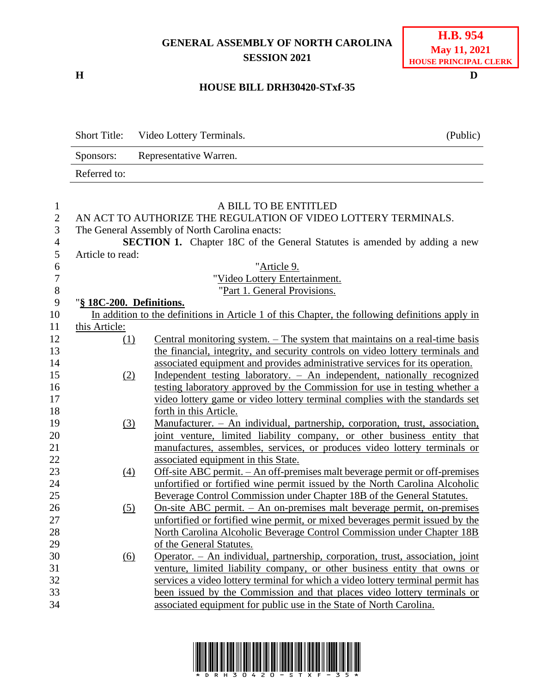## **GENERAL ASSEMBLY OF NORTH CAROLINA SESSION 2021**

**H D**

Short Title:

Sponsors:

Referred to:

## **HOUSE BILL DRH30420-STxf-35**

| Video Lottery Terminals. | (Public) |
|--------------------------|----------|
| Representative Warren.   |          |
|                          |          |
|                          |          |

| $\mathbf{1}$     | A BILL TO BE ENTITLED                                          |                                                                                                 |  |
|------------------|----------------------------------------------------------------|-------------------------------------------------------------------------------------------------|--|
| $\overline{2}$   | AN ACT TO AUTHORIZE THE REGULATION OF VIDEO LOTTERY TERMINALS. |                                                                                                 |  |
| 3                |                                                                | The General Assembly of North Carolina enacts:                                                  |  |
| $\overline{4}$   |                                                                | <b>SECTION 1.</b> Chapter 18C of the General Statutes is amended by adding a new                |  |
| 5                | Article to read:                                               |                                                                                                 |  |
| 6                |                                                                | "Article 9.                                                                                     |  |
| $\boldsymbol{7}$ |                                                                | "Video Lottery Entertainment.                                                                   |  |
| $8\,$            |                                                                | "Part 1. General Provisions.                                                                    |  |
| 9                | "§ 18C-200. Definitions.                                       |                                                                                                 |  |
| 10               |                                                                | In addition to the definitions in Article 1 of this Chapter, the following definitions apply in |  |
| 11               | this Article:                                                  |                                                                                                 |  |
| 12               | (1)                                                            | Central monitoring system. – The system that maintains on a real-time basis                     |  |
| 13               |                                                                | the financial, integrity, and security controls on video lottery terminals and                  |  |
| 14               |                                                                | associated equipment and provides administrative services for its operation.                    |  |
| 15               | (2)                                                            | Independent testing laboratory. - An independent, nationally recognized                         |  |
| 16               |                                                                | testing laboratory approved by the Commission for use in testing whether a                      |  |
| 17               |                                                                | video lottery game or video lottery terminal complies with the standards set                    |  |
| 18               |                                                                | forth in this Article.                                                                          |  |
| 19               | (3)                                                            | Manufacturer. - An individual, partnership, corporation, trust, association,                    |  |
| 20               |                                                                | joint venture, limited liability company, or other business entity that                         |  |
| 21               |                                                                | manufactures, assembles, services, or produces video lottery terminals or                       |  |
| 22               |                                                                | associated equipment in this State.                                                             |  |
| 23               | (4)                                                            | Off-site ABC permit. - An off-premises malt beverage permit or off-premises                     |  |
| 24               |                                                                | unfortified or fortified wine permit issued by the North Carolina Alcoholic                     |  |
| 25               |                                                                | Beverage Control Commission under Chapter 18B of the General Statutes.                          |  |
| 26               | (5)                                                            | <u>On-site ABC permit. – An on-premises malt beverage permit, on-premises</u>                   |  |
| 27               |                                                                | unfortified or fortified wine permit, or mixed beverages permit issued by the                   |  |
| 28               |                                                                | North Carolina Alcoholic Beverage Control Commission under Chapter 18B                          |  |
| 29               |                                                                | of the General Statutes.                                                                        |  |
| 30               | (6)                                                            | Operator. - An individual, partnership, corporation, trust, association, joint                  |  |
| 31               |                                                                | venture, limited liability company, or other business entity that owns or                       |  |
| 32               |                                                                | services a video lottery terminal for which a video lottery terminal permit has                 |  |
| 33               |                                                                | been issued by the Commission and that places video lottery terminals or                        |  |
| 34               |                                                                | associated equipment for public use in the State of North Carolina.                             |  |
|                  |                                                                |                                                                                                 |  |

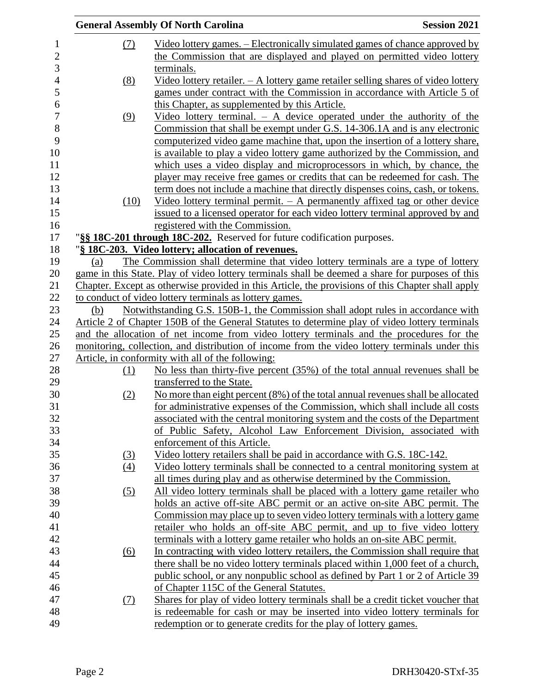|            | <b>General Assembly Of North Carolina</b>                                                                                                                     | <b>Session 2021</b> |
|------------|---------------------------------------------------------------------------------------------------------------------------------------------------------------|---------------------|
| <u>(7)</u> | <u>Video lottery games. – Electronically simulated games of chance approved by</u><br>the Commission that are displayed and played on permitted video lottery |                     |
|            | terminals.                                                                                                                                                    |                     |
| (8)        | Video lottery retailer. $-$ A lottery game retailer selling shares of video lottery                                                                           |                     |
|            | games under contract with the Commission in accordance with Article 5 of                                                                                      |                     |
|            | this Chapter, as supplemented by this Article.                                                                                                                |                     |
| (9)        | Video lottery terminal. $-$ A device operated under the authority of the                                                                                      |                     |
|            | Commission that shall be exempt under G.S. 14-306.1A and is any electronic                                                                                    |                     |
|            | computerized video game machine that, upon the insertion of a lottery share,                                                                                  |                     |
|            | is available to play a video lottery game authorized by the Commission, and                                                                                   |                     |
|            | which uses a video display and microprocessors in which, by chance, the                                                                                       |                     |
|            | player may receive free games or credits that can be redeemed for cash. The                                                                                   |                     |
|            | term does not include a machine that directly dispenses coins, cash, or tokens.                                                                               |                     |
| (10)       | Video lottery terminal permit. $-$ A permanently affixed tag or other device                                                                                  |                     |
|            | issued to a licensed operator for each video lottery terminal approved by and                                                                                 |                     |
|            | registered with the Commission.                                                                                                                               |                     |
|            | "§§ 18C-201 through 18C-202. Reserved for future codification purposes.                                                                                       |                     |
|            | "§ 18C-203. Video lottery; allocation of revenues.                                                                                                            |                     |
| (a)        | The Commission shall determine that video lottery terminals are a type of lottery                                                                             |                     |
|            | game in this State. Play of video lottery terminals shall be deemed a share for purposes of this                                                              |                     |
|            | Chapter. Except as otherwise provided in this Article, the provisions of this Chapter shall apply                                                             |                     |
|            | to conduct of video lottery terminals as lottery games.                                                                                                       |                     |
| (b)        | Notwithstanding G.S. 150B-1, the Commission shall adopt rules in accordance with                                                                              |                     |
|            | Article 2 of Chapter 150B of the General Statutes to determine play of video lottery terminals                                                                |                     |
|            | and the allocation of net income from video lottery terminals and the procedures for the                                                                      |                     |
|            | monitoring, collection, and distribution of income from the video lottery terminals under this                                                                |                     |
|            | Article, in conformity with all of the following:                                                                                                             |                     |
| (1)        | No less than thirty-five percent (35%) of the total annual revenues shall be                                                                                  |                     |
|            | transferred to the State.                                                                                                                                     |                     |
| (2)        | No more than eight percent (8%) of the total annual revenues shall be allocated                                                                               |                     |
|            | for administrative expenses of the Commission, which shall include all costs                                                                                  |                     |
|            | associated with the central monitoring system and the costs of the Department                                                                                 |                     |
|            | of Public Safety, Alcohol Law Enforcement Division, associated with                                                                                           |                     |
|            | enforcement of this Article.                                                                                                                                  |                     |
| (3)        | Video lottery retailers shall be paid in accordance with G.S. 18C-142.                                                                                        |                     |
| (4)        | Video lottery terminals shall be connected to a central monitoring system at                                                                                  |                     |
|            | all times during play and as otherwise determined by the Commission.                                                                                          |                     |
| (5)        | All video lottery terminals shall be placed with a lottery game retailer who                                                                                  |                     |
|            | holds an active off-site ABC permit or an active on-site ABC permit. The                                                                                      |                     |
|            | Commission may place up to seven video lottery terminals with a lottery game                                                                                  |                     |
|            | retailer who holds an off-site ABC permit, and up to five video lottery                                                                                       |                     |
|            | terminals with a lottery game retailer who holds an on-site ABC permit.                                                                                       |                     |
| <u>(6)</u> | In contracting with video lottery retailers, the Commission shall require that                                                                                |                     |
|            | there shall be no video lottery terminals placed within 1,000 feet of a church,                                                                               |                     |
|            | public school, or any nonpublic school as defined by Part 1 or 2 of Article 39                                                                                |                     |
|            | of Chapter 115C of the General Statutes.                                                                                                                      |                     |
| (7)        | Shares for play of video lottery terminals shall be a credit ticket voucher that                                                                              |                     |
|            | is redeemable for cash or may be inserted into video lottery terminals for                                                                                    |                     |
|            | redemption or to generate credits for the play of lottery games.                                                                                              |                     |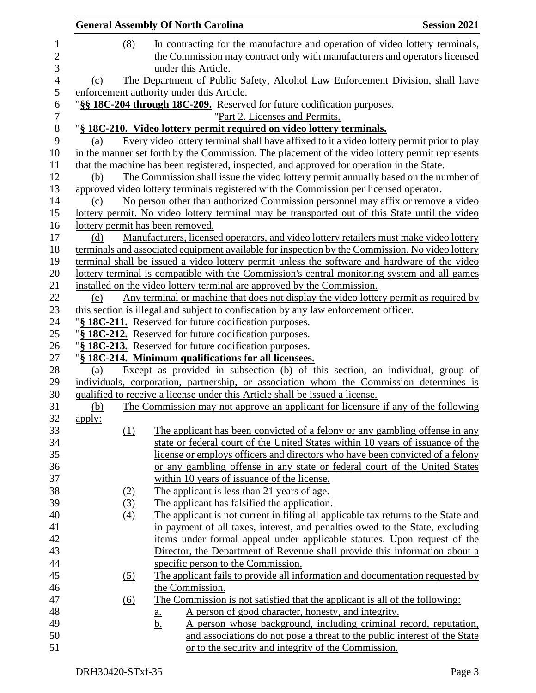|                | <b>General Assembly Of North Carolina</b> |                   |                                                                                                                 | <b>Session 2021</b> |
|----------------|-------------------------------------------|-------------------|-----------------------------------------------------------------------------------------------------------------|---------------------|
| $\mathbf{1}$   |                                           | (8)               | In contracting for the manufacture and operation of video lottery terminals,                                    |                     |
| $\overline{c}$ |                                           |                   | the Commission may contract only with manufacturers and operators licensed                                      |                     |
| 3              |                                           |                   | under this Article.                                                                                             |                     |
| $\overline{4}$ | (c)                                       |                   | The Department of Public Safety, Alcohol Law Enforcement Division, shall have                                   |                     |
| 5              |                                           |                   | enforcement authority under this Article.                                                                       |                     |
| 6              |                                           |                   | "§§ 18C-204 through 18C-209. Reserved for future codification purposes.                                         |                     |
| $\overline{7}$ |                                           |                   | "Part 2. Licenses and Permits.                                                                                  |                     |
| 8              |                                           |                   | "§ 18C-210. Video lottery permit required on video lottery terminals.                                           |                     |
| 9              | (a)                                       |                   | Every video lottery terminal shall have affixed to it a video lottery permit prior to play                      |                     |
| 10             |                                           |                   | in the manner set forth by the Commission. The placement of the video lottery permit represents                 |                     |
| 11             |                                           |                   | that the machine has been registered, inspected, and approved for operation in the State.                       |                     |
| 12             | (b)                                       |                   | The Commission shall issue the video lottery permit annually based on the number of                             |                     |
| 13             |                                           |                   | approved video lottery terminals registered with the Commission per licensed operator.                          |                     |
| 14             | (c)                                       |                   | No person other than authorized Commission personnel may affix or remove a video                                |                     |
| 15             |                                           |                   | lottery permit. No video lottery terminal may be transported out of this State until the video                  |                     |
| 16             |                                           |                   | lottery permit has been removed.                                                                                |                     |
| 17             | (d)                                       |                   | Manufacturers, licensed operators, and video lottery retailers must make video lottery                          |                     |
| 18             |                                           |                   | terminals and associated equipment available for inspection by the Commission. No video lottery                 |                     |
| 19             |                                           |                   | terminal shall be issued a video lottery permit unless the software and hardware of the video                   |                     |
| 20             |                                           |                   | lottery terminal is compatible with the Commission's central monitoring system and all games                    |                     |
| 21             |                                           |                   | installed on the video lottery terminal are approved by the Commission.                                         |                     |
| 22             | (e)                                       |                   | Any terminal or machine that does not display the video lottery permit as required by                           |                     |
| 23             |                                           |                   | this section is illegal and subject to confiscation by any law enforcement officer.                             |                     |
| 24             |                                           |                   | "§ 18C-211. Reserved for future codification purposes.                                                          |                     |
| 25             |                                           |                   | "§ 18C-212. Reserved for future codification purposes.                                                          |                     |
| 26<br>27       |                                           |                   | "§ 18C-213. Reserved for future codification purposes.<br>"§ 18C-214. Minimum qualifications for all licensees. |                     |
| 28             | (a)                                       |                   | Except as provided in subsection (b) of this section, an individual, group of                                   |                     |
| 29             |                                           |                   | individuals, corporation, partnership, or association whom the Commission determines is                         |                     |
| 30             |                                           |                   | qualified to receive a license under this Article shall be issued a license.                                    |                     |
| 31             | (b)                                       |                   | The Commission may not approve an applicant for licensure if any of the following                               |                     |
| 32             | <u>apply:</u>                             |                   |                                                                                                                 |                     |
| 33             |                                           | (1)               | The applicant has been convicted of a felony or any gambling offense in any                                     |                     |
| 34             |                                           |                   | state or federal court of the United States within 10 years of issuance of the                                  |                     |
| 35             |                                           |                   | license or employs officers and directors who have been convicted of a felony                                   |                     |
| 36             |                                           |                   | or any gambling offense in any state or federal court of the United States                                      |                     |
| 37             |                                           |                   | within 10 years of issuance of the license.                                                                     |                     |
| 38             |                                           | (2)               | The applicant is less than 21 years of age.                                                                     |                     |
| 39             |                                           | (3)               | The applicant has falsified the application.                                                                    |                     |
| 40             |                                           | (4)               | The applicant is not current in filing all applicable tax returns to the State and                              |                     |
| 41             |                                           |                   | in payment of all taxes, interest, and penalties owed to the State, excluding                                   |                     |
| 42             |                                           |                   | items under formal appeal under applicable statutes. Upon request of the                                        |                     |
| 43             |                                           |                   | Director, the Department of Revenue shall provide this information about a                                      |                     |
| 44             |                                           |                   | specific person to the Commission.                                                                              |                     |
| 45             |                                           | (5)               | The applicant fails to provide all information and documentation requested by                                   |                     |
| 46             |                                           |                   | the Commission.                                                                                                 |                     |
| 47             |                                           | $\underline{(6)}$ | The Commission is not satisfied that the applicant is all of the following:                                     |                     |
| 48             |                                           |                   | A person of good character, honesty, and integrity.<br><u>a.</u>                                                |                     |
| 49             |                                           |                   | A person whose background, including criminal record, reputation,<br><u>b.</u>                                  |                     |
| 50             |                                           |                   | and associations do not pose a threat to the public interest of the State                                       |                     |
| 51             |                                           |                   | or to the security and integrity of the Commission.                                                             |                     |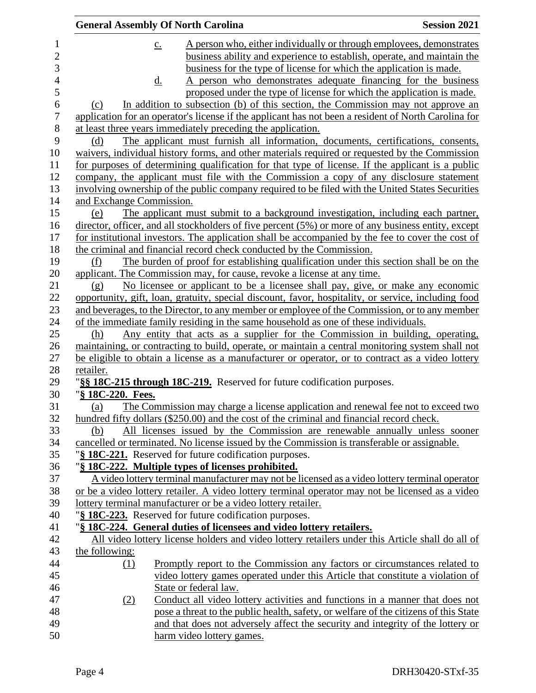|                          | <b>General Assembly Of North Carolina</b> |                                                                                                                                                                      | <b>Session 2021</b> |
|--------------------------|-------------------------------------------|----------------------------------------------------------------------------------------------------------------------------------------------------------------------|---------------------|
| $\mathbf{1}$             | $\underline{c}$ .                         | A person who, either individually or through employees, demonstrates                                                                                                 |                     |
| $\overline{c}$           |                                           | business ability and experience to establish, operate, and maintain the                                                                                              |                     |
| 3                        |                                           | business for the type of license for which the application is made.                                                                                                  |                     |
| $\overline{\mathcal{L}}$ | <u>d.</u>                                 | A person who demonstrates adequate financing for the business                                                                                                        |                     |
| 5                        |                                           | proposed under the type of license for which the application is made.                                                                                                |                     |
| 6                        | (c)                                       | In addition to subsection (b) of this section, the Commission may not approve an                                                                                     |                     |
| $\boldsymbol{7}$         |                                           | application for an operator's license if the applicant has not been a resident of North Carolina for                                                                 |                     |
| 8                        |                                           | at least three years immediately preceding the application.                                                                                                          |                     |
| 9                        | (d)                                       | The applicant must furnish all information, documents, certifications, consents,                                                                                     |                     |
| 10                       |                                           | waivers, individual history forms, and other materials required or requested by the Commission                                                                       |                     |
| 11                       |                                           | for purposes of determining qualification for that type of license. If the applicant is a public                                                                     |                     |
| 12                       |                                           | company, the applicant must file with the Commission a copy of any disclosure statement                                                                              |                     |
| 13                       |                                           | involving ownership of the public company required to be filed with the United States Securities                                                                     |                     |
| 14                       | and Exchange Commission.                  |                                                                                                                                                                      |                     |
| 15                       | (e)                                       | The applicant must submit to a background investigation, including each partner,                                                                                     |                     |
| 16                       |                                           | director, officer, and all stockholders of five percent (5%) or more of any business entity, except                                                                  |                     |
| 17                       |                                           | for institutional investors. The application shall be accompanied by the fee to cover the cost of                                                                    |                     |
| 18                       |                                           | the criminal and financial record check conducted by the Commission.                                                                                                 |                     |
| 19                       | (f)                                       | The burden of proof for establishing qualification under this section shall be on the                                                                                |                     |
| 20                       |                                           | applicant. The Commission may, for cause, revoke a license at any time.                                                                                              |                     |
| 21                       | (g)                                       | No licensee or applicant to be a licensee shall pay, give, or make any economic                                                                                      |                     |
| 22                       |                                           | opportunity, gift, loan, gratuity, special discount, favor, hospitality, or service, including food                                                                  |                     |
| 23                       |                                           | and beverages, to the Director, to any member or employee of the Commission, or to any member                                                                        |                     |
| 24                       |                                           | of the immediate family residing in the same household as one of these individuals.                                                                                  |                     |
| 25                       | (h)                                       | Any entity that acts as a supplier for the Commission in building, operating,                                                                                        |                     |
| 26                       |                                           | maintaining, or contracting to build, operate, or maintain a central monitoring system shall not                                                                     |                     |
| 27                       |                                           | be eligible to obtain a license as a manufacturer or operator, or to contract as a video lottery                                                                     |                     |
| 28                       | retailer.                                 |                                                                                                                                                                      |                     |
| 29                       |                                           | "§§ 18C-215 through 18C-219. Reserved for future codification purposes.                                                                                              |                     |
| 30                       | " <u>§ 18C-220. Fees.</u>                 |                                                                                                                                                                      |                     |
| 31                       | (a)                                       | The Commission may charge a license application and renewal fee not to exceed two                                                                                    |                     |
| 32                       |                                           | hundred fifty dollars (\$250.00) and the cost of the criminal and financial record check.                                                                            |                     |
| 33                       | (b)                                       | All licenses issued by the Commission are renewable annually unless sooner                                                                                           |                     |
| 34                       |                                           | cancelled or terminated. No license issued by the Commission is transferable or assignable.                                                                          |                     |
| 35                       |                                           | "§ 18C-221. Reserved for future codification purposes.                                                                                                               |                     |
| 36                       |                                           | "§ 18C-222. Multiple types of licenses prohibited.                                                                                                                   |                     |
| 37                       |                                           | A video lottery terminal manufacturer may not be licensed as a video lottery terminal operator                                                                       |                     |
| 38                       |                                           | or be a video lottery retailer. A video lottery terminal operator may not be licensed as a video                                                                     |                     |
| 39                       |                                           | lottery terminal manufacturer or be a video lottery retailer.                                                                                                        |                     |
| 40                       |                                           | "§ 18C-223. Reserved for future codification purposes.                                                                                                               |                     |
| 41<br>42                 |                                           | "§ 18C-224. General duties of licensees and video lottery retailers.                                                                                                 |                     |
| 43                       | the following:                            | All video lottery license holders and video lottery retailers under this Article shall do all of                                                                     |                     |
| 44                       |                                           |                                                                                                                                                                      |                     |
| 45                       | $\Omega$                                  | Promptly report to the Commission any factors or circumstances related to<br>video lottery games operated under this Article that constitute a violation of          |                     |
| 46                       |                                           |                                                                                                                                                                      |                     |
| 47                       |                                           | State or federal law.                                                                                                                                                |                     |
| 48                       | (2)                                       | Conduct all video lottery activities and functions in a manner that does not<br>pose a threat to the public health, safety, or welfare of the citizens of this State |                     |
| 49                       |                                           | and that does not adversely affect the security and integrity of the lottery or                                                                                      |                     |
| 50                       |                                           | harm video lottery games.                                                                                                                                            |                     |
|                          |                                           |                                                                                                                                                                      |                     |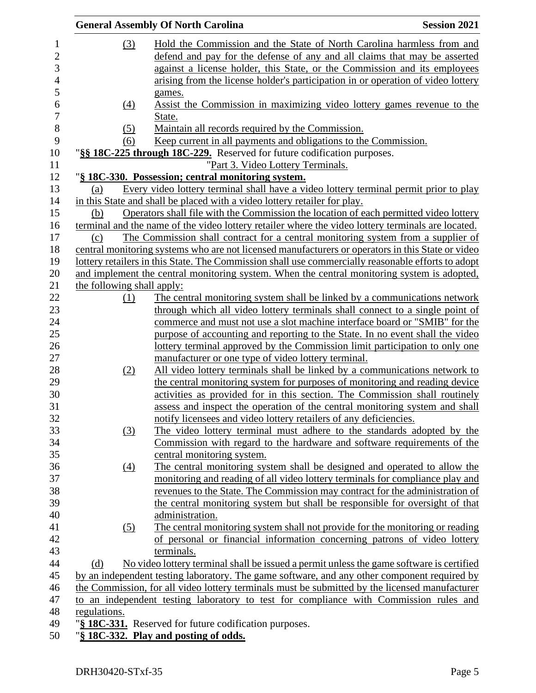|                            | <b>General Assembly Of North Carolina</b>                                                          | <b>Session 2021</b> |
|----------------------------|----------------------------------------------------------------------------------------------------|---------------------|
| (3)                        | Hold the Commission and the State of North Carolina harmless from and                              |                     |
|                            | defend and pay for the defense of any and all claims that may be asserted                          |                     |
|                            | against a license holder, this State, or the Commission and its employees                          |                     |
|                            | arising from the license holder's participation in or operation of video lottery                   |                     |
|                            | games.                                                                                             |                     |
| $\underline{(4)}$          | Assist the Commission in maximizing video lottery games revenue to the                             |                     |
|                            | State.                                                                                             |                     |
| <u>(5)</u>                 | Maintain all records required by the Commission.                                                   |                     |
| (6)                        | Keep current in all payments and obligations to the Commission.                                    |                     |
|                            | "§§ 18C-225 through 18C-229. Reserved for future codification purposes.                            |                     |
|                            | "Part 3. Video Lottery Terminals.                                                                  |                     |
|                            | "§ 18C-330. Possession; central monitoring system.                                                 |                     |
| (a)                        | Every video lottery terminal shall have a video lottery terminal permit prior to play              |                     |
|                            | in this State and shall be placed with a video lottery retailer for play.                          |                     |
| (b)                        | Operators shall file with the Commission the location of each permitted video lottery              |                     |
|                            | terminal and the name of the video lottery retailer where the video lottery terminals are located. |                     |
| (c)                        | The Commission shall contract for a central monitoring system from a supplier of                   |                     |
|                            | central monitoring systems who are not licensed manufacturers or operators in this State or video  |                     |
|                            | lottery retailers in this State. The Commission shall use commercially reasonable efforts to adopt |                     |
|                            | and implement the central monitoring system. When the central monitoring system is adopted,        |                     |
| the following shall apply: |                                                                                                    |                     |
| (1)                        | The central monitoring system shall be linked by a communications network                          |                     |
|                            | through which all video lottery terminals shall connect to a single point of                       |                     |
|                            | commerce and must not use a slot machine interface board or "SMIB" for the                         |                     |
|                            | purpose of accounting and reporting to the State. In no event shall the video                      |                     |
|                            | lottery terminal approved by the Commission limit participation to only one                        |                     |
|                            | manufacturer or one type of video lottery terminal.                                                |                     |
| (2)                        | All video lottery terminals shall be linked by a communications network to                         |                     |
|                            | the central monitoring system for purposes of monitoring and reading device                        |                     |
|                            | activities as provided for in this section. The Commission shall routinely                         |                     |
|                            | assess and inspect the operation of the central monitoring system and shall                        |                     |
|                            | notify licensees and video lottery retailers of any deficiencies.                                  |                     |
| (3)                        | The video lottery terminal must adhere to the standards adopted by the                             |                     |
|                            | Commission with regard to the hardware and software requirements of the                            |                     |
|                            | central monitoring system.                                                                         |                     |
| (4)                        | The central monitoring system shall be designed and operated to allow the                          |                     |
|                            | monitoring and reading of all video lottery terminals for compliance play and                      |                     |
|                            | revenues to the State. The Commission may contract for the administration of                       |                     |
|                            | the central monitoring system but shall be responsible for oversight of that                       |                     |
|                            | administration.                                                                                    |                     |
| (5)                        | The central monitoring system shall not provide for the monitoring or reading                      |                     |
|                            | of personal or financial information concerning patrons of video lottery                           |                     |
|                            | terminals.                                                                                         |                     |
| (d)                        | No video lottery terminal shall be issued a permit unless the game software is certified           |                     |
|                            | by an independent testing laboratory. The game software, and any other component required by       |                     |
|                            | the Commission, for all video lottery terminals must be submitted by the licensed manufacturer     |                     |
|                            | to an independent testing laboratory to test for compliance with Commission rules and              |                     |
| regulations.               |                                                                                                    |                     |
|                            | "§ 18C-331. Reserved for future codification purposes.                                             |                     |
|                            |                                                                                                    |                     |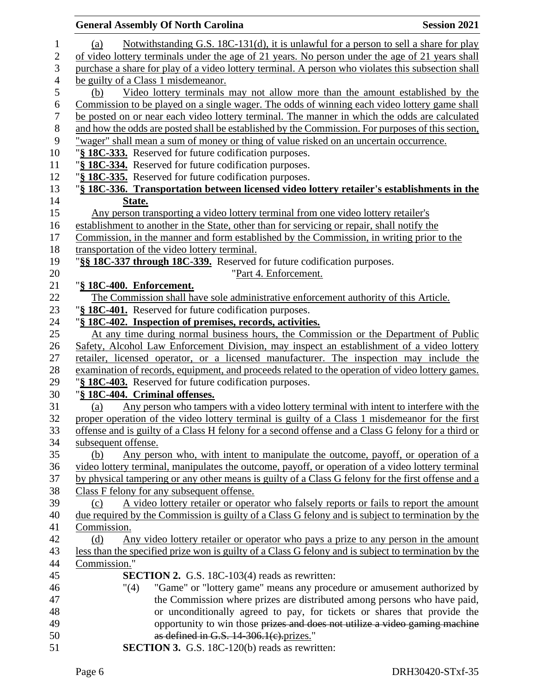|                  | <b>General Assembly Of North Carolina</b><br><b>Session 2021</b>                                     |
|------------------|------------------------------------------------------------------------------------------------------|
| 1                | Notwithstanding G.S. 18C-131(d), it is unlawful for a person to sell a share for play<br>(a)         |
| $\boldsymbol{2}$ | of video lottery terminals under the age of 21 years. No person under the age of 21 years shall      |
| 3                | purchase a share for play of a video lottery terminal. A person who violates this subsection shall   |
| $\overline{4}$   | be guilty of a Class 1 misdemeanor.                                                                  |
| 5                | Video lottery terminals may not allow more than the amount established by the<br>(b)                 |
| 6                | Commission to be played on a single wager. The odds of winning each video lottery game shall         |
| $\boldsymbol{7}$ | be posted on or near each video lottery terminal. The manner in which the odds are calculated        |
| 8                | and how the odds are posted shall be established by the Commission. For purposes of this section,    |
| 9                | "wager" shall mean a sum of money or thing of value risked on an uncertain occurrence.               |
| 10               | "§ 18C-333. Reserved for future codification purposes.                                               |
| 11               | "§ 18C-334. Reserved for future codification purposes.                                               |
| 12               | "§ 18C-335. Reserved for future codification purposes.                                               |
| 13               | "§ 18C-336. Transportation between licensed video lottery retailer's establishments in the           |
| 14               | State.                                                                                               |
| 15               | Any person transporting a video lottery terminal from one video lottery retailer's                   |
| 16               | establishment to another in the State, other than for servicing or repair, shall notify the          |
| 17               | Commission, in the manner and form established by the Commission, in writing prior to the            |
| 18               | transportation of the video lottery terminal.                                                        |
| 19               | "§§ 18C-337 through 18C-339. Reserved for future codification purposes.                              |
| 20               | "Part 4. Enforcement.                                                                                |
| 21               | "§ 18C-400. Enforcement.                                                                             |
| 22               | The Commission shall have sole administrative enforcement authority of this Article.                 |
| 23               | "§ 18C-401. Reserved for future codification purposes.                                               |
| 24               | "§ 18C-402. Inspection of premises, records, activities.                                             |
| 25               | At any time during normal business hours, the Commission or the Department of Public                 |
| 26               | Safety, Alcohol Law Enforcement Division, may inspect an establishment of a video lottery            |
| 27               | retailer, licensed operator, or a licensed manufacturer. The inspection may include the              |
| 28               | examination of records, equipment, and proceeds related to the operation of video lottery games.     |
| 29               | "§ 18C-403. Reserved for future codification purposes.                                               |
| 30               | "§ 18C-404. Criminal offenses.                                                                       |
| 31               | Any person who tampers with a video lottery terminal with intent to interfere with the<br>(a)        |
| 32               | proper operation of the video lottery terminal is guilty of a Class 1 misdemeanor for the first      |
| 33               | offense and is guilty of a Class H felony for a second offense and a Class G felony for a third or   |
| 34               | subsequent offense.                                                                                  |
| 35               | Any person who, with intent to manipulate the outcome, payoff, or operation of a<br>(b)              |
| 36               | video lottery terminal, manipulates the outcome, payoff, or operation of a video lottery terminal    |
| 37               | by physical tampering or any other means is guilty of a Class G felony for the first offense and a   |
| 38               | Class F felony for any subsequent offense.                                                           |
| 39               | A video lottery retailer or operator who falsely reports or fails to report the amount<br>(c)        |
| 40               | due required by the Commission is guilty of a Class G felony and is subject to termination by the    |
| 41               | Commission.                                                                                          |
| 42               | (d)<br>Any video lottery retailer or operator who pays a prize to any person in the amount           |
| 43               | less than the specified prize won is guilty of a Class G felony and is subject to termination by the |
| 44               | Commission."                                                                                         |
| 45               | <b>SECTION 2.</b> G.S. 18C-103(4) reads as rewritten:                                                |
| 46               | "Game" or "lottery game" means any procedure or amusement authorized by<br>"(4)                      |
| 47               | the Commission where prizes are distributed among persons who have paid,                             |
| 48               | or unconditionally agreed to pay, for tickets or shares that provide the                             |
| 49               | opportunity to win those prizes and does not utilize a video gaming machine                          |
| 50               | as defined in G.S. $14-306.1(c)$ . prizes."                                                          |
| 51               | <b>SECTION 3.</b> G.S. 18C-120(b) reads as rewritten:                                                |